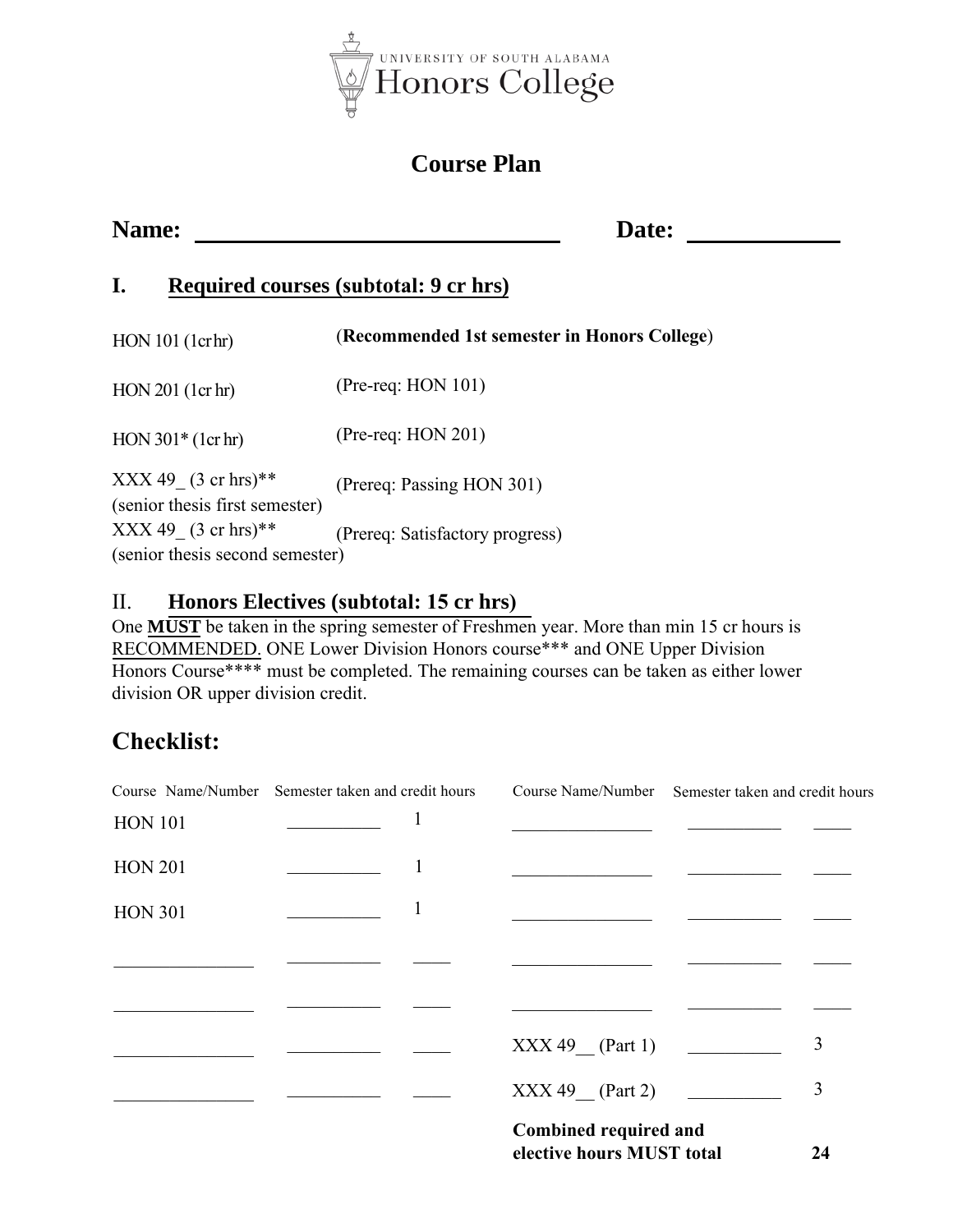

## **Course Plan**

### **Name:** Date:

### **I. Required courses (subtotal: 9 cr hrs)**

| HON 101 (1crhr)                                          | (Recommended 1st semester in Honors College) |
|----------------------------------------------------------|----------------------------------------------|
| HON 201 (1cr hr)                                         | $(Pre-reg: HON 101)$                         |
| $HON 301*(1cr hr)$                                       | $(Pre-reg: HON 201)$                         |
| $XXX 49$ (3 cr hrs)**<br>(senior thesis first semester)  | (Prereq: Passing HON 301)                    |
| $XXX 49$ (3 cr hrs)**<br>(senior thesis second semester) | (Prereq: Satisfactory progress)              |

# II. **Honors Electives (subtotal: 15 cr hrs)**

 One **MUST** be taken in the spring semester of Freshmen year. More than min 15 cr hours is RECOMMENDED. ONE Lower Division Honors course\*\*\* and ONE Upper Division Honors Course\*\*\*\* must be completed. The remaining courses can be taken as either lower division OR upper division credit.

# **Checklist:**

|                | Course Name/Number Semester taken and credit hours |                                                          | Course Name/Number Semester taken and credit hours |   |
|----------------|----------------------------------------------------|----------------------------------------------------------|----------------------------------------------------|---|
| <b>HON 101</b> |                                                    |                                                          |                                                    |   |
| <b>HON 201</b> |                                                    |                                                          |                                                    |   |
| <b>HON 301</b> |                                                    |                                                          |                                                    |   |
|                |                                                    |                                                          |                                                    |   |
|                |                                                    |                                                          |                                                    |   |
|                |                                                    | $XXX 49$ (Part 1)                                        |                                                    | 3 |
|                |                                                    | $XXX 49$ (Part 2)                                        |                                                    | 3 |
|                |                                                    | Combined required and<br>elective hours MUST total<br>24 |                                                    |   |